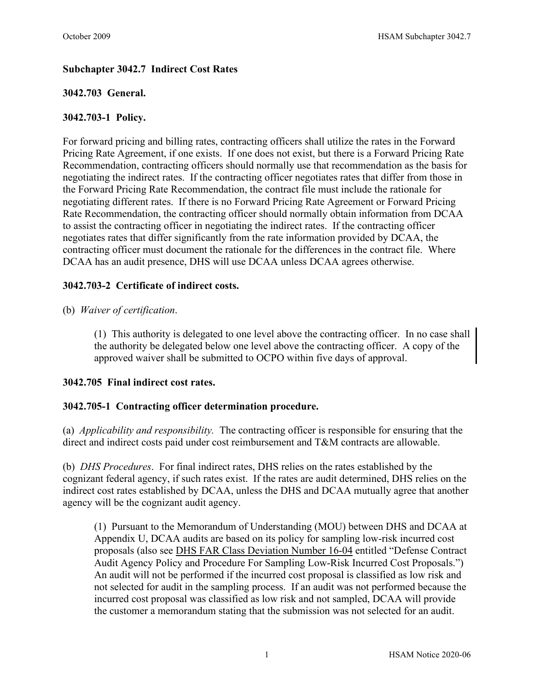# **Subchapter 3042.7 Indirect Cost Rates**

## **3042.703 General.**

### **3042.703-1 Policy.**

For forward pricing and billing rates, contracting officers shall utilize the rates in the Forward Pricing Rate Agreement, if one exists. If one does not exist, but there is a Forward Pricing Rate Recommendation, contracting officers should normally use that recommendation as the basis for negotiating the indirect rates. If the contracting officer negotiates rates that differ from those in the Forward Pricing Rate Recommendation, the contract file must include the rationale for negotiating different rates. If there is no Forward Pricing Rate Agreement or Forward Pricing Rate Recommendation, the contracting officer should normally obtain information from DCAA to assist the contracting officer in negotiating the indirect rates. If the contracting officer negotiates rates that differ significantly from the rate information provided by DCAA, the contracting officer must document the rationale for the differences in the contract file. Where DCAA has an audit presence, DHS will use DCAA unless DCAA agrees otherwise.

### **3042.703-2 Certificate of indirect costs.**

### (b) *Waiver of certification*.

(1) This authority is delegated to one level above the contracting officer. In no case shall the authority be delegated below one level above the contracting officer. A copy of the approved waiver shall be submitted to OCPO within five days of approval.

### **3042.705 Final indirect cost rates.**

### **3042.705-1 Contracting officer determination procedure.**

(a) *Applicability and responsibility.* The contracting officer is responsible for ensuring that the direct and indirect costs paid under cost reimbursement and T&M contracts are allowable.

(b) *DHS Procedures*. For final indirect rates, DHS relies on the rates established by the cognizant federal agency, if such rates exist. If the rates are audit determined, DHS relies on the indirect cost rates established by DCAA, unless the DHS and DCAA mutually agree that another agency will be the cognizant audit agency.

(1) Pursuant to the Memorandum of Understanding (MOU) between DHS and DCAA at Appendix U, DCAA audits are based on its policy for sampling low-risk incurred cost proposals (also see [DHS FAR Class Deviation Number 16-04](http://dhsconnect.dhs.gov/org/comp/mgmt/cpo/paw/FAR%20Class%20Deviations/Forms/AllItems.aspx?InitialTabId=Ribbon%2EDocument&VisibilityContext=WSSTabPersistence) entitled "Defense Contract Audit Agency Policy and Procedure For Sampling Low-Risk Incurred Cost Proposals.") An audit will not be performed if the incurred cost proposal is classified as low risk and not selected for audit in the sampling process. If an audit was not performed because the incurred cost proposal was classified as low risk and not sampled, DCAA will provide the customer a memorandum stating that the submission was not selected for an audit.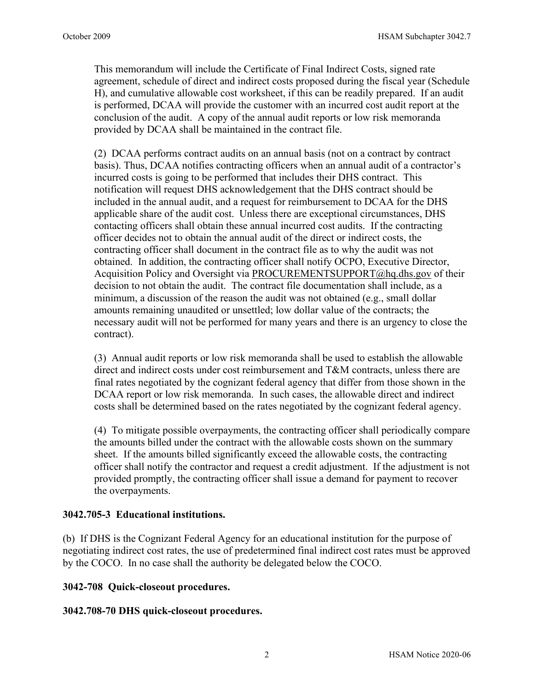This memorandum will include the Certificate of Final Indirect Costs, signed rate agreement, schedule of direct and indirect costs proposed during the fiscal year (Schedule H), and cumulative allowable cost worksheet, if this can be readily prepared. If an audit is performed, DCAA will provide the customer with an incurred cost audit report at the conclusion of the audit. A copy of the annual audit reports or low risk memoranda provided by DCAA shall be maintained in the contract file.

(2) DCAA performs contract audits on an annual basis (not on a contract by contract basis). Thus, DCAA notifies contracting officers when an annual audit of a contractor's incurred costs is going to be performed that includes their DHS contract. This notification will request DHS acknowledgement that the DHS contract should be included in the annual audit, and a request for reimbursement to DCAA for the DHS applicable share of the audit cost. Unless there are exceptional circumstances, DHS contacting officers shall obtain these annual incurred cost audits. If the contracting officer decides not to obtain the annual audit of the direct or indirect costs, the contracting officer shall document in the contract file as to why the audit was not obtained. In addition, the contracting officer shall notify OCPO, Executive Director, Acquisition Policy and Oversight via PROCUREMENTSUPPORT@hq.dhs.gov of their decision to not obtain the audit. The contract file documentation shall include, as a minimum, a discussion of the reason the audit was not obtained (e.g., small dollar amounts remaining unaudited or unsettled; low dollar value of the contracts; the necessary audit will not be performed for many years and there is an urgency to close the contract).

(3) Annual audit reports or low risk memoranda shall be used to establish the allowable direct and indirect costs under cost reimbursement and T&M contracts, unless there are final rates negotiated by the cognizant federal agency that differ from those shown in the DCAA report or low risk memoranda. In such cases, the allowable direct and indirect costs shall be determined based on the rates negotiated by the cognizant federal agency.

(4) To mitigate possible overpayments, the contracting officer shall periodically compare the amounts billed under the contract with the allowable costs shown on the summary sheet. If the amounts billed significantly exceed the allowable costs, the contracting officer shall notify the contractor and request a credit adjustment. If the adjustment is not provided promptly, the contracting officer shall issue a demand for payment to recover the overpayments.

### **3042.705-3 Educational institutions.**

(b) If DHS is the Cognizant Federal Agency for an educational institution for the purpose of negotiating indirect cost rates, the use of predetermined final indirect cost rates must be approved by the COCO. In no case shall the authority be delegated below the COCO.

### **3042-708 Quick-closeout procedures.**

**3042.708-70 DHS quick-closeout procedures.**